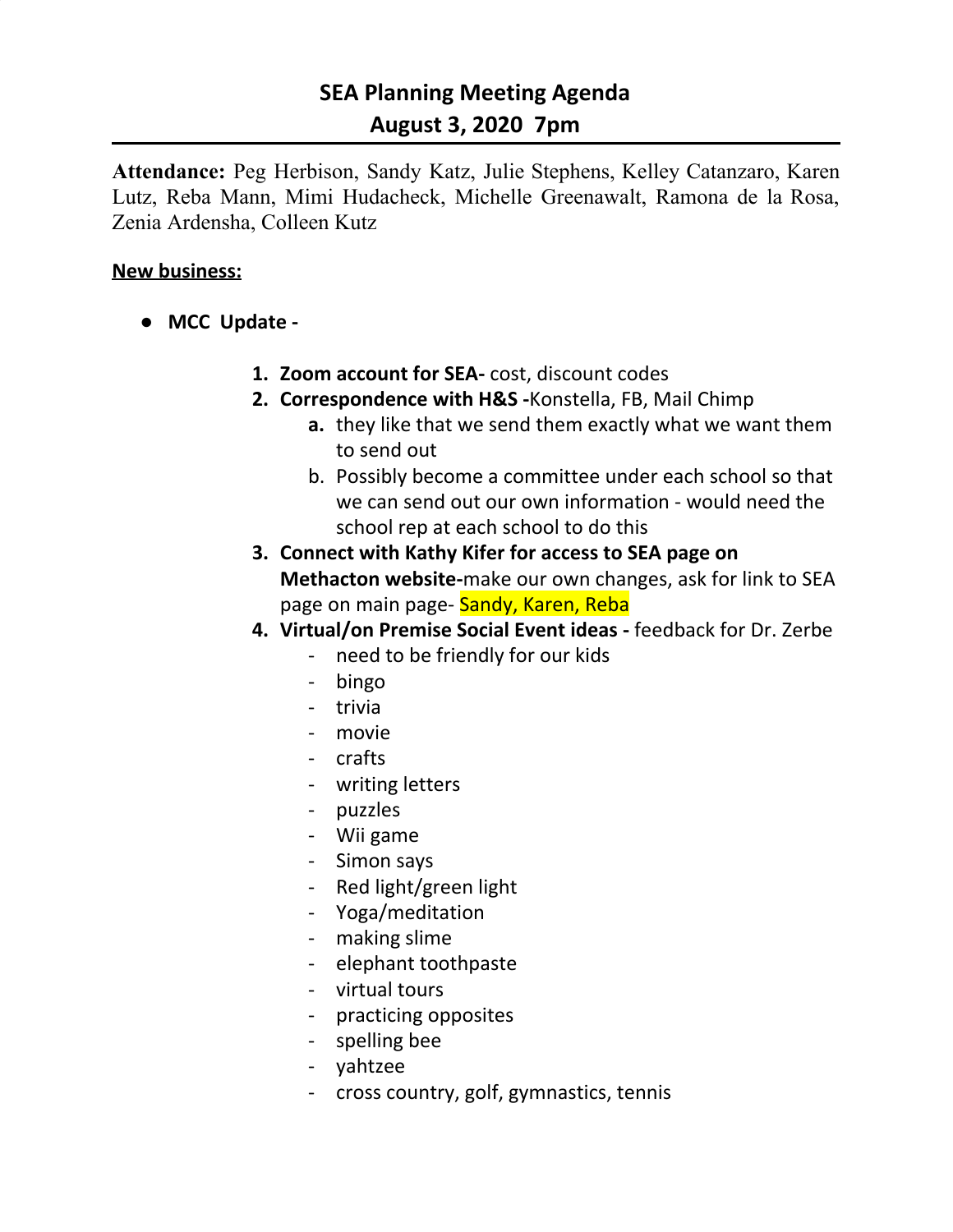# **SEA Planning Meeting Agenda August 3, 2020 7pm**

**Attendance:** Peg Herbison, Sandy Katz, Julie Stephens, Kelley Catanzaro, Karen Lutz, Reba Mann, Mimi Hudacheck, Michelle Greenawalt, Ramona de la Rosa, Zenia Ardensha, Colleen Kutz

### **New business:**

- **● MCC Update -**
	- **1. Zoom account for SEA-** cost, discount codes
	- **2. Correspondence with H&S -**Konstella, FB, Mail Chimp
		- **a.** they like that we send them exactly what we want them to send out
		- b. Possibly become a committee under each school so that we can send out our own information - would need the school rep at each school to do this
	- **3. Connect with Kathy Kifer for access to SEA page on Methacton website-**make our own changes, ask for link to SEA page on main page- Sandy, Karen, Reba
	- **4. Virtual/on Premise Social Event ideas -** feedback for Dr. Zerbe
		- need to be friendly for our kids
		- bingo
		- trivia
		- movie
		- crafts
		- writing letters
		- puzzles
		- Wii game
		- Simon says
		- Red light/green light
		- Yoga/meditation
		- making slime
		- elephant toothpaste
		- virtual tours
		- practicing opposites
		- spelling bee
		- yahtzee
		- cross country, golf, gymnastics, tennis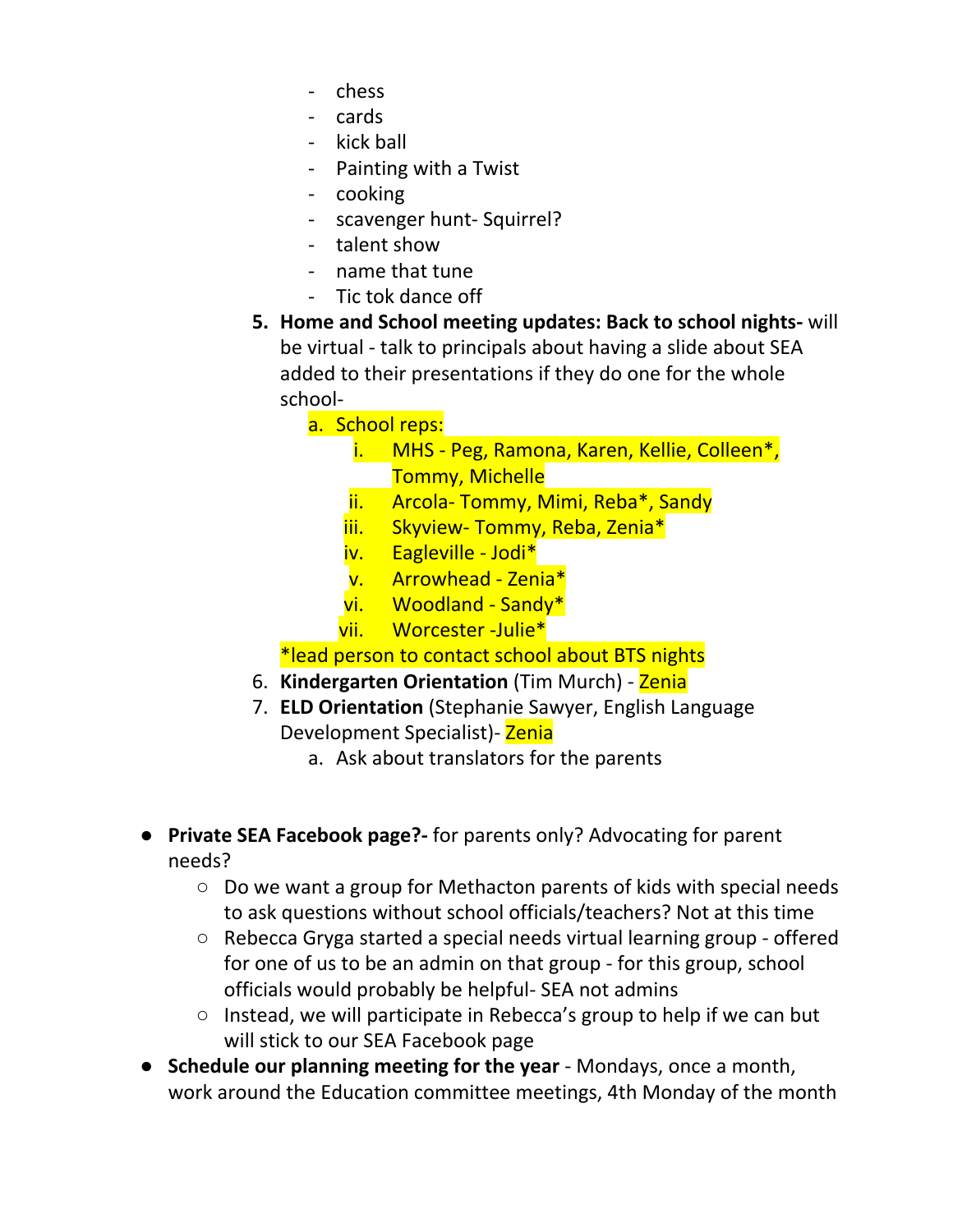- chess
- cards
- kick ball
- Painting with a Twist
- cooking
- scavenger hunt- Squirrel?
- talent show
- name that tune
- Tic tok dance off
- **5. Home and School meeting updates: Back to school nights-** will be virtual - talk to principals about having a slide about SEA added to their presentations if they do one for the whole school
	- a. School reps:
		- i. MHS Peg, Ramona, Karen, Kellie, Colleen\*, Tommy, Michelle
		- ii. Arcola- Tommy, Mimi, Reba\*, Sandy
		- iii. Skyview- Tommy, Reba, Zenia\*
		- iv. Eagleville Jodi\*
		- v. Arrowhead Zenia\*
		- vi. Woodland Sandy\*
		- vii. Worcester -Julie\*

\*lead person to contact school about BTS nights

- 6. **Kindergarten Orientation** (Tim Murch) Zenia
- 7. **ELD Orientation** (Stephanie Sawyer, English Language Development Specialist) - Zenia
	- a. Ask about translators for the parents
- **Private SEA Facebook page?-** for parents only? Advocating for parent needs?
	- Do we want a group for Methacton parents of kids with special needs to ask questions without school officials/teachers? Not at this time
	- Rebecca Gryga started a special needs virtual learning group offered for one of us to be an admin on that group - for this group, school officials would probably be helpful- SEA not admins
	- Instead, we will participate in Rebecca's group to help if we can but will stick to our SEA Facebook page
- **● Schedule our planning meeting for the year** Mondays, once a month, work around the Education committee meetings, 4th Monday of the month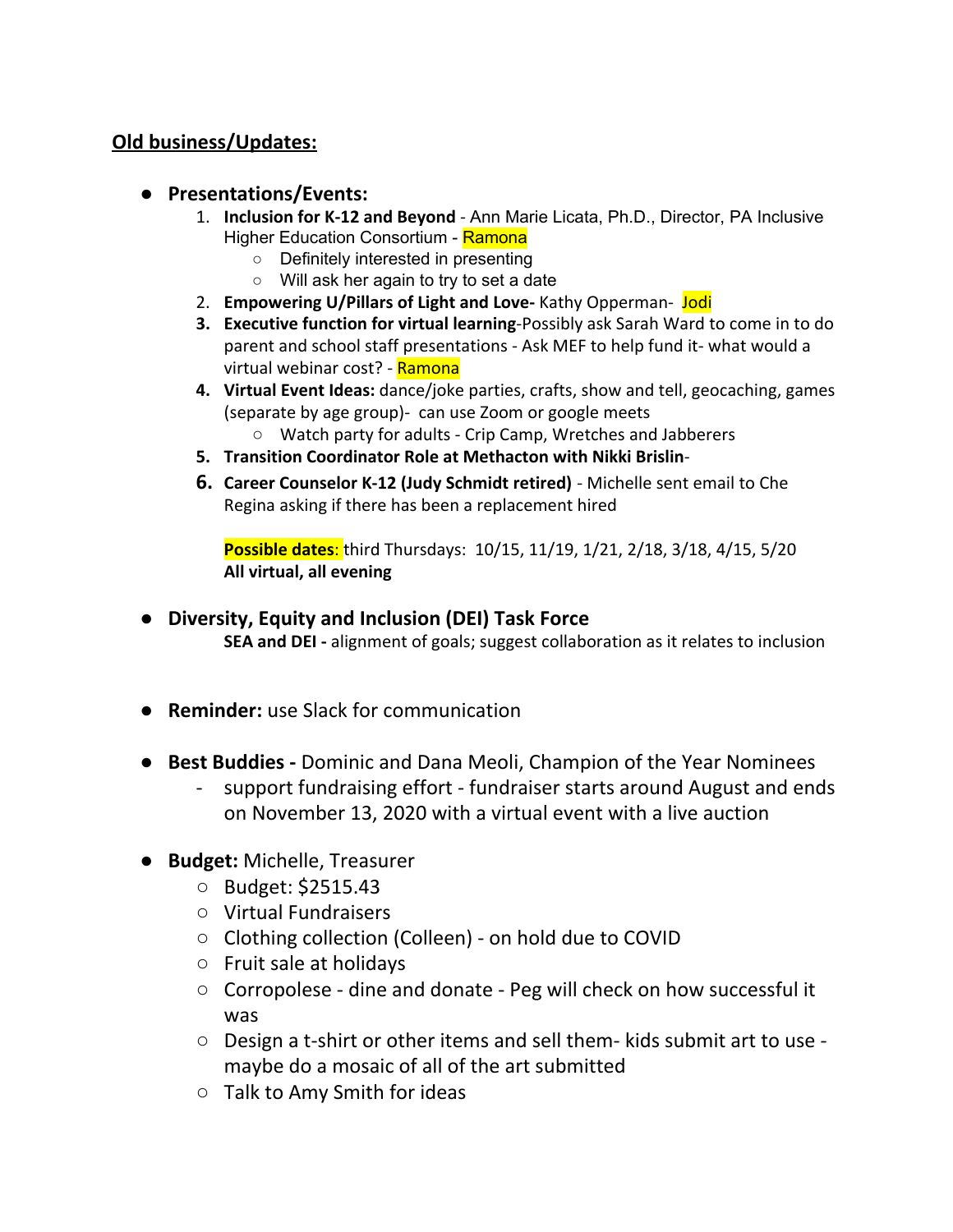## **Old business/Updates:**

- **● Presentations/Events:**
	- 1. **Inclusion for K-12 and Beyond** Ann Marie Licata, Ph.D., Director, PA Inclusive Higher Education Consortium - Ramona
		- Definitely interested in presenting
		- Will ask her again to try to set a date
	- 2. **Empowering U/Pillars of Light and Love-** Kathy Opperman- Jodi
	- **3. Executive function for virtual learning**-Possibly ask Sarah Ward to come in to do parent and school staff presentations - Ask MEF to help fund it- what would a virtual webinar cost? - Ramona
	- **4. Virtual Event Ideas:** dance/joke parties, crafts, show and tell, geocaching, games (separate by age group)- can use Zoom or google meets ○ Watch party for adults - Crip Camp, Wretches and Jabberers
	- **5. Transition Coordinator Role at Methacton with Nikki Brislin**-
	- **6. Career Counselor K-12 (Judy Schmidt retired)** Michelle sent email to Che Regina asking if there has been a replacement hired

**Possible dates**: third Thursdays: 10/15, 11/19, 1/21, 2/18, 3/18, 4/15, 5/20 **All virtual, all evening**

**● Diversity, Equity and Inclusion (DEI) Task Force**

**SEA and DEI -** alignment of goals; suggest collaboration as it relates to inclusion

- **● Reminder:** use Slack for communication
- **Best Buddies -** Dominic and Dana Meoli, Champion of the Year Nominees
	- support fundraising effort fundraiser starts around August and ends on November 13, 2020 with a virtual event with a live auction
- **Budget:** Michelle, Treasurer
	- Budget: \$2515.43
	- Virtual Fundraisers
	- Clothing collection (Colleen) on hold due to COVID
	- Fruit sale at holidays
	- Corropolese dine and donate Peg will check on how successful it was
	- Design a t-shirt or other items and sell them- kids submit art to use maybe do a mosaic of all of the art submitted
	- Talk to Amy Smith for ideas